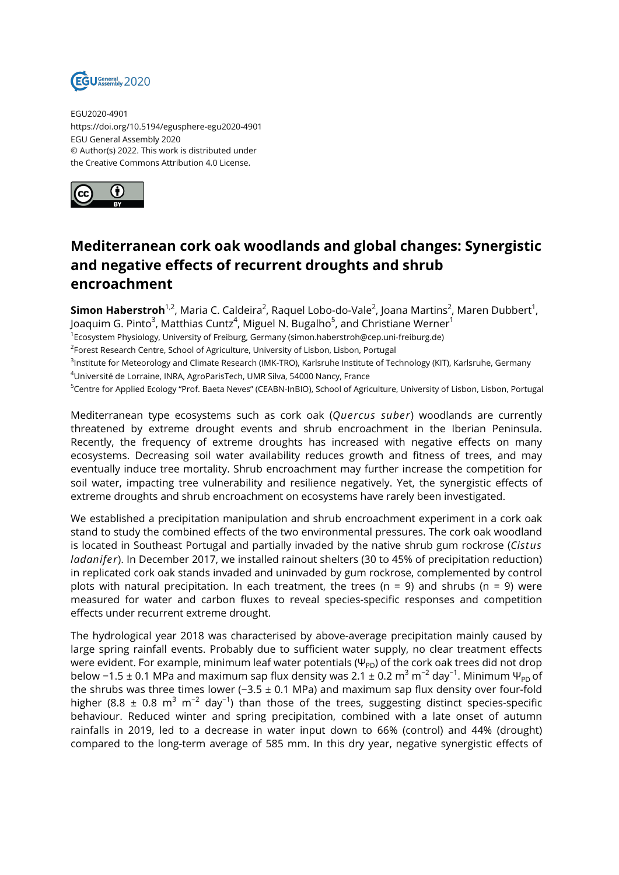

EGU2020-4901 https://doi.org/10.5194/egusphere-egu2020-4901 EGU General Assembly 2020 © Author(s) 2022. This work is distributed under the Creative Commons Attribution 4.0 License.



## **Mediterranean cork oak woodlands and global changes: Synergistic and negative effects of recurrent droughts and shrub encroachment**

**Simon Haberstroh**<sup>1,2</sup>, Maria C. Caldeira<sup>2</sup>, Raquel Lobo-do-Vale<sup>2</sup>, Joana Martins<sup>2</sup>, Maren Dubbert<sup>1</sup>, Joaquim G. Pinto $^3$ , Matthias Cuntz $^4$ , Miguel N. Bugalho $^5$ , and Christiane Werner $^1$ 

1 Ecosystem Physiology, University of Freiburg, Germany (simon.haberstroh@cep.uni-freiburg.de)

 $^2$ Forest Research Centre, School of Agriculture, University of Lisbon, Lisbon, Portugal

<sup>3</sup>lnstitute for Meteorology and Climate Research (IMK-TRO), Karlsruhe Institute of Technology (KIT), Karlsruhe, Germany

<sup>4</sup>Université de Lorraine, INRA, AgroParisTech, UMR Silva, 54000 Nancy, France

<sup>5</sup>Centre for Applied Ecology "Prof. Baeta Neves" (CEABN-InBIO), School of Agriculture, University of Lisbon, Lisbon, Portugal

Mediterranean type ecosystems such as cork oak (*Quercus suber*) woodlands are currently threatened by extreme drought events and shrub encroachment in the Iberian Peninsula. Recently, the frequency of extreme droughts has increased with negative effects on many ecosystems. Decreasing soil water availability reduces growth and fitness of trees, and may eventually induce tree mortality. Shrub encroachment may further increase the competition for soil water, impacting tree vulnerability and resilience negatively. Yet, the synergistic effects of extreme droughts and shrub encroachment on ecosystems have rarely been investigated.

We established a precipitation manipulation and shrub encroachment experiment in a cork oak stand to study the combined effects of the two environmental pressures. The cork oak woodland is located in Southeast Portugal and partially invaded by the native shrub gum rockrose (*Cistus ladanifer*). In December 2017, we installed rainout shelters (30 to 45% of precipitation reduction) in replicated cork oak stands invaded and uninvaded by gum rockrose, complemented by control plots with natural precipitation. In each treatment, the trees (n = 9) and shrubs (n = 9) were measured for water and carbon fluxes to reveal species-specific responses and competition effects under recurrent extreme drought.

The hydrological year 2018 was characterised by above-average precipitation mainly caused by large spring rainfall events. Probably due to sufficient water supply, no clear treatment effects were evident. For example, minimum leaf water potentials ( $\Psi_{PD}$ ) of the cork oak trees did not drop below −1.5 ± 0.1 MPa and maximum sap flux density was 2.1 ± 0.2  $\textsf{m}^3$  m<sup>−2</sup> day<sup>−1</sup>. Minimum Ψ<sub>PD</sub> of the shrubs was three times lower (−3.5 ± 0.1 MPa) and maximum sap flux density over four-fold higher (8.8  $\pm$  0.8 m $^3$  m $^{-2}$  day $^{-1}$ ) than those of the trees, suggesting distinct species-specific behaviour. Reduced winter and spring precipitation, combined with a late onset of autumn rainfalls in 2019, led to a decrease in water input down to 66% (control) and 44% (drought) compared to the long-term average of 585 mm. In this dry year, negative synergistic effects of